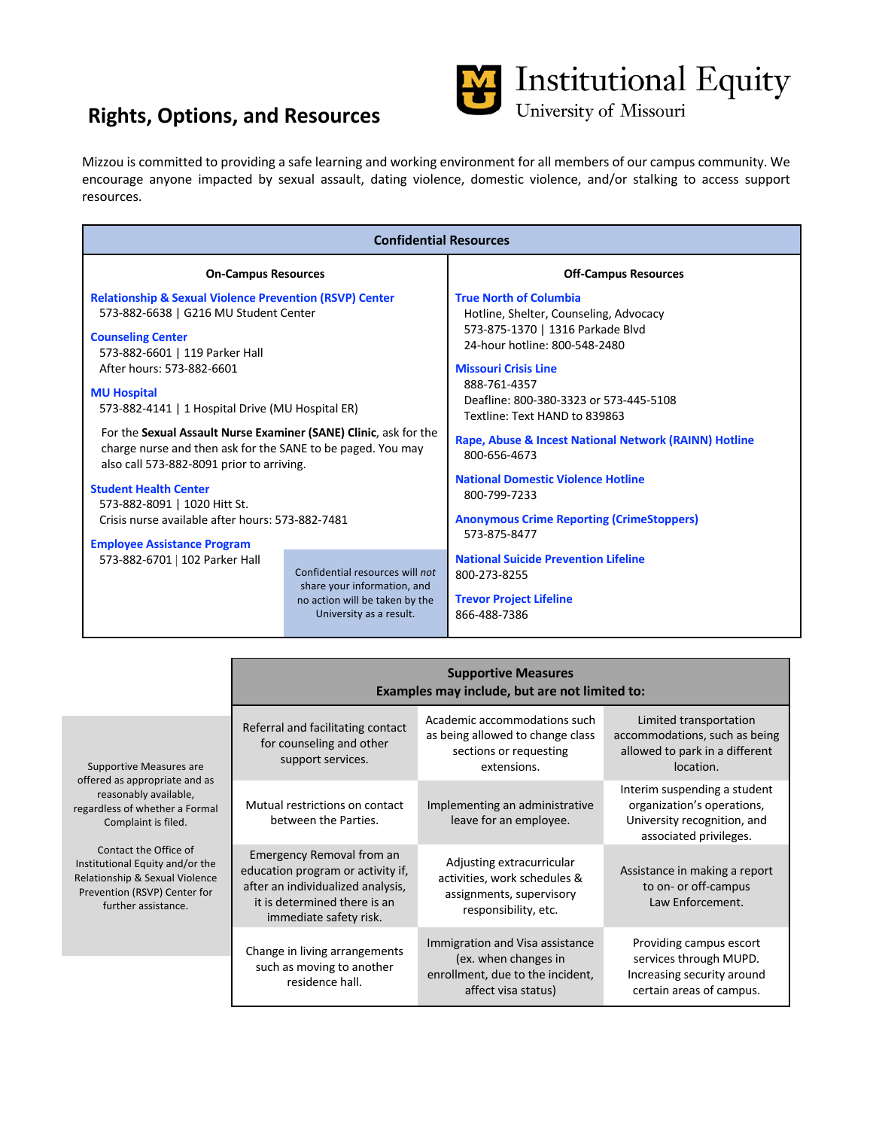# **Rights, Options, and Resources**



Mizzou is committed to providing a safe learning and working environment for all members of our campus community. We encourage anyone impacted by sexual assault, dating violence, domestic violence, and/or stalking to access support resources.

| <b>Confidential Resources</b>                                                                                                                                                                                                                                                                                                                                                                                                                                                                                                                                                        |                                                                                                                             |                                                                                                                                                                                                                                                                                                                                                                                                                                                                                  |  |  |  |
|--------------------------------------------------------------------------------------------------------------------------------------------------------------------------------------------------------------------------------------------------------------------------------------------------------------------------------------------------------------------------------------------------------------------------------------------------------------------------------------------------------------------------------------------------------------------------------------|-----------------------------------------------------------------------------------------------------------------------------|----------------------------------------------------------------------------------------------------------------------------------------------------------------------------------------------------------------------------------------------------------------------------------------------------------------------------------------------------------------------------------------------------------------------------------------------------------------------------------|--|--|--|
| <b>On-Campus Resources</b>                                                                                                                                                                                                                                                                                                                                                                                                                                                                                                                                                           |                                                                                                                             | <b>Off-Campus Resources</b>                                                                                                                                                                                                                                                                                                                                                                                                                                                      |  |  |  |
| <b>Relationship &amp; Sexual Violence Prevention (RSVP) Center</b><br>573-882-6638   G216 MU Student Center<br><b>Counseling Center</b><br>573-882-6601   119 Parker Hall<br>After hours: 573-882-6601<br><b>MU Hospital</b><br>573-882-4141   1 Hospital Drive (MU Hospital ER)<br>For the Sexual Assault Nurse Examiner (SANE) Clinic, ask for the<br>charge nurse and then ask for the SANE to be paged. You may<br>also call 573-882-8091 prior to arriving.<br><b>Student Health Center</b><br>573-882-8091   1020 Hitt St.<br>Crisis nurse available after hours: 573-882-7481 |                                                                                                                             | <b>True North of Columbia</b><br>Hotline, Shelter, Counseling, Advocacy<br>573-875-1370   1316 Parkade Blvd<br>24-hour hotline: 800-548-2480<br><b>Missouri Crisis Line</b><br>888-761-4357<br>Deafline: 800-380-3323 or 573-445-5108<br>Textline: Text HAND to 839863<br>Rape, Abuse & Incest National Network (RAINN) Hotline<br>800-656-4673<br><b>National Domestic Violence Hotline</b><br>800-799-7233<br><b>Anonymous Crime Reporting (CrimeStoppers)</b><br>573-875-8477 |  |  |  |
| <b>Employee Assistance Program</b><br>573-882-6701   102 Parker Hall                                                                                                                                                                                                                                                                                                                                                                                                                                                                                                                 | Confidential resources will not<br>share your information, and<br>no action will be taken by the<br>University as a result. | <b>National Suicide Prevention Lifeline</b><br>800-273-8255<br><b>Trevor Project Lifeline</b><br>866-488-7386                                                                                                                                                                                                                                                                                                                                                                    |  |  |  |

|                                                                                                                                                                                                                                                                                                 | <b>Supportive Measures</b><br>Examples may include, but are not limited to:                                                                                   |                                                                                                                    |                                                                                                                     |  |
|-------------------------------------------------------------------------------------------------------------------------------------------------------------------------------------------------------------------------------------------------------------------------------------------------|---------------------------------------------------------------------------------------------------------------------------------------------------------------|--------------------------------------------------------------------------------------------------------------------|---------------------------------------------------------------------------------------------------------------------|--|
| Supportive Measures are<br>offered as appropriate and as<br>reasonably available,<br>regardless of whether a Formal<br>Complaint is filed.<br>Contact the Office of<br>Institutional Equity and/or the<br>Relationship & Sexual Violence<br>Prevention (RSVP) Center for<br>further assistance. | Referral and facilitating contact<br>for counseling and other<br>support services.                                                                            | Academic accommodations such<br>as being allowed to change class<br>sections or requesting<br>extensions.          | Limited transportation<br>accommodations, such as being<br>allowed to park in a different<br>location.              |  |
|                                                                                                                                                                                                                                                                                                 | Mutual restrictions on contact<br>between the Parties.                                                                                                        | Implementing an administrative<br>leave for an employee.                                                           | Interim suspending a student<br>organization's operations,<br>University recognition, and<br>associated privileges. |  |
|                                                                                                                                                                                                                                                                                                 | Emergency Removal from an<br>education program or activity if,<br>after an individualized analysis,<br>it is determined there is an<br>immediate safety risk. | Adjusting extracurricular<br>activities, work schedules &<br>assignments, supervisory<br>responsibility, etc.      | Assistance in making a report<br>to on- or off-campus<br>Law Enforcement.                                           |  |
|                                                                                                                                                                                                                                                                                                 | Change in living arrangements<br>such as moving to another<br>residence hall.                                                                                 | Immigration and Visa assistance<br>(ex. when changes in<br>enrollment, due to the incident,<br>affect visa status) | Providing campus escort<br>services through MUPD.<br>Increasing security around<br>certain areas of campus.         |  |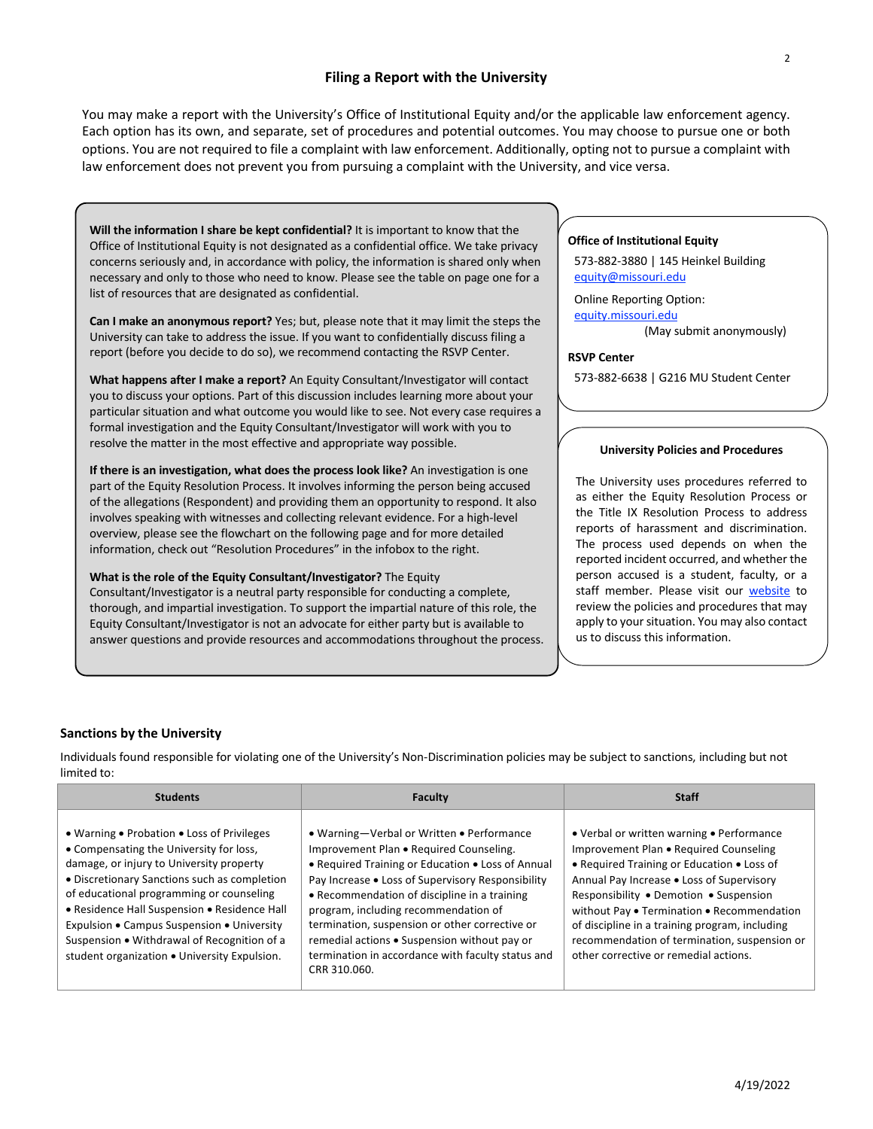# **Filing a Report with the University**

You may make a report with the University's Office of Institutional Equity and/or the applicable law enforcement agency. Each option has its own, and separate, set of procedures and potential outcomes. You may choose to pursue one or both options. You are not required to file a complaint with law enforcement. Additionally, opting not to pursue a complaint with law enforcement does not prevent you from pursuing a complaint with the University, and vice versa.

**Will the information I share be kept confidential?** It is important to know that the Office of Institutional Equity is not designated as a confidential office. We take privacy concerns seriously and, in accordance with policy, the information is shared only when necessary and only to those who need to know. Please see the table on page one for a list of resources that are designated as confidential.

**Can I make an anonymous report?** Yes; but, please note that it may limit the steps the University can take to address the issue. If you want to confidentially discuss filing a report (before you decide to do so), we recommend contacting the RSVP Center.

**What happens after I make a report?** An Equity Consultant/Investigator will contact you to discuss your options. Part of this discussion includes learning more about your particular situation and what outcome you would like to see. Not every case requires a formal investigation and the Equity Consultant/Investigator will work with you to resolve the matter in the most effective and appropriate way possible.

**If there is an investigation, what does the process look like?** An investigation is one part of the Equity Resolution Process. It involves informing the person being accused of the allegations (Respondent) and providing them an opportunity to respond. It also involves speaking with witnesses and collecting relevant evidence. For a high-level overview, please see the flowchart on the following page and for more detailed information, check out "Resolution Procedures" in the infobox to the right.

**What is the role of the Equity Consultant/Investigator?** The Equity Consultant/Investigator is a neutral party responsible for conducting a complete, thorough, and impartial investigation. To support the impartial nature of this role, the Equity Consultant/Investigator is not an advocate for either party but is available to answer questions and provide resources and accommodations throughout the process.

### **Office of Institutional Equity**

573-882-3880 | 145 Heinkel Building equity@missouri.edu

Online Reporting Option: equity.missouri.edu

(May submit anonymously)

#### **RSVP Center**

573-882-6638 | G216 MU Student Center

#### **University Policies and Procedures**

The University uses procedures referred to as either the Equity Resolution Process or the Title IX Resolution Process to address reports of harassment and discrimination. The process used depends on when the reported incident occurred, and whether the person accused is a student, faculty, or a staff member. Please visit our website to review the policies and procedures that may apply to your situation. You may also contact us to discuss this information.

#### **Sanctions by the University**

Individuals found responsible for violating one of the University's Non-Discrimination policies may be subject to sanctions, including but not limited to:

| <b>Students</b>                                                                                                                                                                                                                                                                                                                                                                                                            | <b>Faculty</b>                                                                                                                                                                                                                                                                                                                                                                                                                                                | <b>Staff</b>                                                                                                                                                                                                                                                                                                                                                                                                      |
|----------------------------------------------------------------------------------------------------------------------------------------------------------------------------------------------------------------------------------------------------------------------------------------------------------------------------------------------------------------------------------------------------------------------------|---------------------------------------------------------------------------------------------------------------------------------------------------------------------------------------------------------------------------------------------------------------------------------------------------------------------------------------------------------------------------------------------------------------------------------------------------------------|-------------------------------------------------------------------------------------------------------------------------------------------------------------------------------------------------------------------------------------------------------------------------------------------------------------------------------------------------------------------------------------------------------------------|
| • Warning • Probation • Loss of Privileges<br>• Compensating the University for loss,<br>damage, or injury to University property<br>• Discretionary Sanctions such as completion<br>of educational programming or counseling<br>• Residence Hall Suspension • Residence Hall<br>Expulsion • Campus Suspension • University<br>Suspension . Withdrawal of Recognition of a<br>student organization . University Expulsion. | • Warning-Verbal or Written • Performance<br>Improvement Plan . Required Counseling.<br>• Required Training or Education • Loss of Annual<br>Pay Increase . Loss of Supervisory Responsibility<br>• Recommendation of discipline in a training<br>program, including recommendation of<br>termination, suspension or other corrective or<br>remedial actions . Suspension without pay or<br>termination in accordance with faculty status and<br>CRR 310.060. | • Verbal or written warning • Performance<br>Improvement Plan . Required Counseling<br>• Required Training or Education • Loss of<br>Annual Pay Increase . Loss of Supervisory<br>Responsibility . Demotion . Suspension<br>without Pay . Termination . Recommendation<br>of discipline in a training program, including<br>recommendation of termination, suspension or<br>other corrective or remedial actions. |